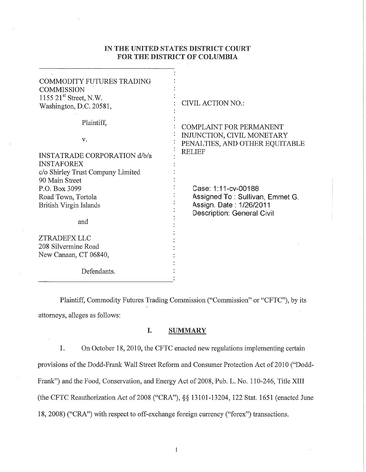## IN THE UNITED STATES DISTRICT COURT FOR THE DISTRICT OF COLUMBIA

| <b>COMMODITY FUTURES TRADING</b><br><b>COMMISSION</b><br>1155 $21st$ Street, N.W.<br>Washington, D.C. 20581,      | <b>CIVIL ACTION NO.:</b>                                                                                                |
|-------------------------------------------------------------------------------------------------------------------|-------------------------------------------------------------------------------------------------------------------------|
| Plaintiff,<br>v.<br><b>INSTATRADE CORPORATION d/b/a</b><br><b>INSTAFOREX</b><br>c/o Shirley Trust Company Limited | <b>COMPLAINT FOR PERMANENT</b><br>INJUNCTION, CIVIL MONETARY<br>PENALTIES, AND OTHER EQUITABLE<br><b>RELIEF</b>         |
| 90 Main Street<br>P.O. Box 3099<br>Road Town, Tortola<br>British Virgin Islands<br>and                            | Case: 1:11-cv-00188<br>Assigned To : Sullivan, Emmet G.<br>Assign. Date: 1/26/2011<br><b>Description: General Civil</b> |
| ZTRADEFX LLC<br>208 Silvermine Road<br>New Canaan, CT 06840,<br>Defendants.                                       |                                                                                                                         |

Plaintiff, Commodity Futures Trading Commission ("Commission" or "CFTC"), by its attorneys, alleges as follows:

### I. SUMMARY

1. On October 18, 2010, the CFTC enacted new regulations implementing certain provisions of the Dodd-Frank Wall Street Reform and Consumer Protection Act of 2010 ("Dodd-Frank") and the Food, Conservation, and Energy Act of 2008, Pub. L. No. 110-246, Title XIII (the CFTC Reauthorization Act of2008 ("CRA"), *§§* 13101-13204, 122 Stat. 1651 (enacted June 18, 2008) ("CRA") with respect to off-exchange foreign currency ("forex") transactions.

 $1\,$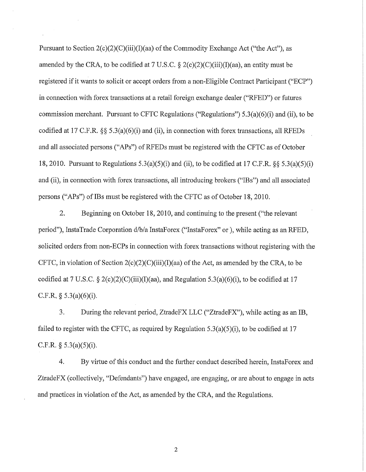Pursuant to Section  $2(c)(2)(C)(iii)(I)(aa)$  of the Commodity Exchange Act ("the Act"), as amended by the CRA, to be codified at 7 U.S.C.  $\S 2(c)(2)(C)(iii)(I)(aa)$ , an entity must be registered if it wants to solicit or accept orders from a non-Eligible Contract Participant ("ECP") in connection with forex transactions at a retail foreign exchange dealer ("RFED") or futures commission merchant. Pursuant to CFTC Regulations ("Regulations")  $5.3(a)(6)(i)$  and (ii), to be codified at 17 C.P.R. §§ 5.3(a)(6)(i) and (ii), in connection with forex transactions, all RFEDs and all associated persons ("APs") of RFEDs must be registered with the CFTC as of October 18, 2010. Pursuant to Regulations  $5.3(a)(5)(i)$  and (ii), to be codified at 17 C.F.R. §§  $5.3(a)(5)(i)$ and (ii), in connection with forex transactions, all introducing brokers ("IBs") and all associated persons ("APs") of IBs must be registered with the CFTC as of October 18, 2010.

2. Beginning on October 18, 2010, and continuing to the present ("the relevant period"), InstaTrade Corporation d/b/a InstaPorex ("InstaPorex" or), while acting as an RFED, solicited orders from non-ECPs in connection with forex transactions without registering with the CFTC, in violation of Section  $2(c)(2)(C)(iii)(I)(aa)$  of the Act, as amended by the CRA, to be codified at 7 U.S.C. § 2(c)(2)(C)(iii)(I)(aa), and Regulation 5.3(a)(6)(i), to be codified at 17 C.F.R.  $\S$  5.3(a)(6)(i).

3. During the relevant period, ZtradeFX LLC ("ZtradeFX"), while acting as an IB, failed to register with the CFTC, as required by Regulation  $5.3(a)(5)(i)$ , to be codified at 17 C.F.R. §  $5.3(a)(5)(i)$ .

4. By virtue of this conduct and the further conduct described herein, InstaPorex and ZtradeFX (collectively, "Defendants") have engaged, are engaging, or are about to engage in acts and practices in violation of the Act, as amended by the CRA, and the Regulations.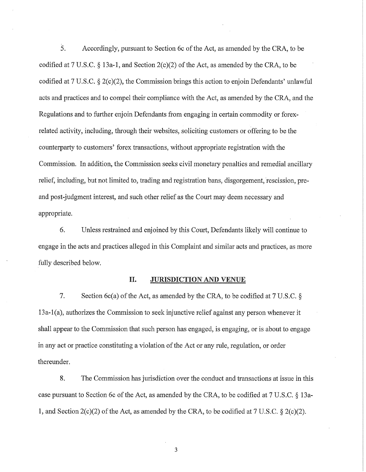5. Accordingly, pursuant to Section 6c of the Act, as amended by the CRA, to be codified at 7 U.S.C.  $\S$  13a-1, and Section 2(c)(2) of the Act, as amended by the CRA, to be codified at 7 U.S.C. § 2(c)(2), the Commission brings this action to enjoin Defendants' unlawful acts and practices and to compel their compliance with the Act, as amended by the CRA, and the Regulations and to further enjoin Defendants from engaging in certain commodity or forexrelated activity, including, through their websites, soliciting customers or offering to be the counterparty to customers' forex transactions, without appropriate registration with the Commission. In addition, the Commission seeks civil monetary penalties and remedial ancillary relief, including, but not limited to, trading and registration bans, disgorgement, rescission, preand post-judgment interest, and such other relief as the Court may deem necessary and appropriate.

6. Unless restrained and enjoined by this Court, Defendants likely will continue to engage in the acts and practices alleged in this Complaint and similar acts and practices, as more fully described below.

### II. JURISDICTION AND VENUE

7. Section 6c(a) of the Act, as amended by the CRA, to be codified at 7 U.S.C. § 13a-l(a), authorizes the Commission to seek injunctive relief against any person whenever it shall appear to the Commission that such person has engaged, is engaging, or is about to engage in any act or practice constituting a violation of the Act or any rule, regulation, or order thereunder.

8. The Commission has jurisdiction over the conduct and transactions at issue in this case pursuant to Section 6c of the Act, as amended by the CRA, to be codified at 7 U.S.C. § 13a-1, and Section  $2(c)(2)$  of the Act, as amended by the CRA, to be codified at 7 U.S.C. §  $2(c)(2)$ .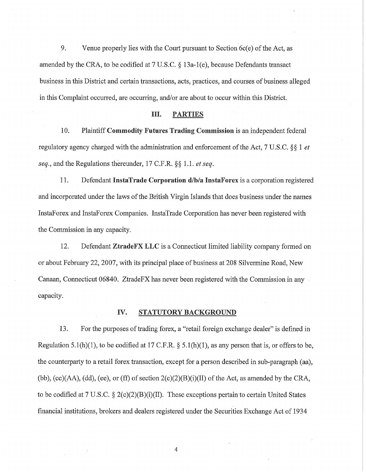9. Venue properly lies with the Court pursuant to Section 6c(e) of the Act, as amended by the CRA, to be codified at  $7 \text{ U.S.C.} \$ § 13a-1(e), because Defendants transact business in this District and certain transactions, acts, practices, and courses of business alleged in this Complaint occurred, are occurring, and/or are about to occur within this District.

### III. PARTIES

10. Plaintiff Commodity Futures Trading Commission is an independent federal regulatory agency charged with the administration and enforcement ofthe Act, 7 U.S.C. §§ 1 *et seq.,* and the Regulations thereunder, 17 C.P.R.§§ 1.1. *et seq.* 

11. Defendant InstaTrade Corporation d/b/a InstaForex is a corporation registered and incorporated under the laws of the British Virgin Islands that does business under the names InstaForex and InstaForex Companies. InstaTrade Corporation has never been registered with the Commission in any capacity.

12. Defendant ZtradeFX LLC is a Connecticut limited liability company formed on or about February 22, 2007, with its principal place of business at 208 Silvermine Road, New Canaan, Connecticut 06840. ZtradeFX has never been registered with the Commission in any capacity.

### IV. STATUTORY BACKGROUND

13. For the purposes of trading forex, a "retail foreign exchange dealer" is defined in Regulation 5.1(h)(1), to be codified at 17 C.F.R. § 5.1(h)(1), as any person that is, or offers to be, the counterparty to a retail forex transaction, except for a person described in sub-paragraph (aa), (bb),  $(cc)(AA)$ , (dd), (ee), or (ff) of section  $2(c)(2)(B)(i)(II)$  of the Act, as amended by the CRA, to be codified at 7 U.S.C. § 2(c)(2)(B)(i)(II). These exceptions pertain to certain United States financial institutions, brokers and dealers registered under the Securities Exchange Act of 1934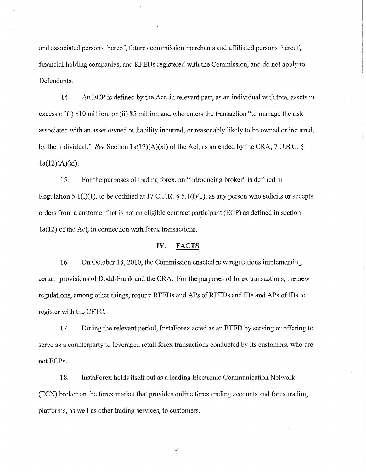and associated persons thereof, futures commission merchants and affiliated persons thereof, financial holding companies, and RFEDs registered with the Commission, and do not apply to Defendants.

14. An ECP is defined by the Act, in relevant part, as an individual with total assets in excess of (i) \$10 million, or (ii) \$5 million and who enters the transaction "to manage the risk associated with an asset owned or liability incurred, or reasonably likely to be owned or incurred, by the individual." *See* Section 1a(12)(A)(xi) of the Act, as amended by the CRA, 7 U.S.C. §  $1a(12)(A)(xi)$ .

15. For the purposes of trading forex, an "introducing broker" is defined in Regulation 5.1(f)(1), to be codified at 17 C.F.R. § 5.1(f)(1), as any person who solicits or accepts orders from a customer that is not an eligible contract participant (ECP) as defined in section 1a(12) of the Act, in connection with forex transactions.

## IV. FACTS

16. On October 18, 2010, the Commission enacted new regulations implementing certain provisions of Dodd-Frank and the CRA. For the purposes of forex transactions, the new regulations, among other things, require RFEDs and APs of RFEDs and IBs and APs of IBs to register with the CFTC.

17. During the relevant period, InstaForex acted as an RFED by serving or offering to serve as a counterparty to leveraged retail forex transactions conducted by its customers, who are notECPs.

18. InstaForex holds itself out as a leading Electronic Communication Network (ECN) broker on the forex market that provides online forex trading accounts and forex trading platforms, as well as other trading services, to customers.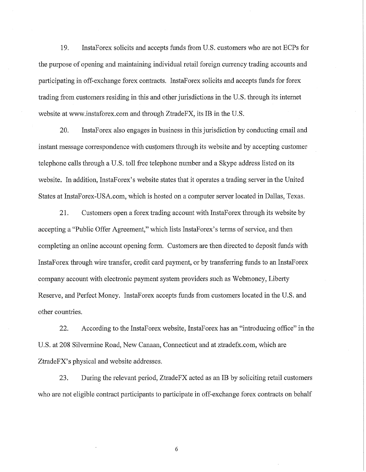19. InstaForex solicits and accepts funds from U.S. customers who are not ECPs for the purpose of opening and maintaining individual retail foreign currency trading accounts and participating in off-exchange forex contracts. InstaForex solicits and accepts funds for forex trading from customers residing in this and other jurisdictions in the U.S. through its internet website at www.instaforex.com and through ZtradeFX, its IB in the U.S.

20. InstaForex also engages in business in this jurisdiction by conducting email and instant message correspondence with customers through its website and by accepting customer telephone calls through a U.S. toll free telephone number and a Skype address listed on its website. In addition, InstaForex's website states that it operates a trading server in the United States at InstaForex-USA.com, which is hosted on a computer server located in Dallas, Texas.

21. Customers open a forex trading account with InstaF orex through its website by accepting a "Public Offer Agreement," which lists InstaForex's terms of service, and then completing an online account opening form. Customers are then directed to deposit funds with InstaForex through wire transfer, credit card payment, or by transferring funds to an InstaForex company account with electronic payment system providers such as Webmoney, Liberty Reserve, and Perfect Money. InstaForex accepts funds from customers located in the U.S. and other countries.

22. According to the InstaForex website, InstaForex has an "introducing office" in the U.S. at 208 Silvermine Road, New Canaan, Connecticut and at ztradefx.com, which are ZtradeFX's physical and website addresses.

23. During the relevant period, ZtradeFX acted as an IB by soliciting retail customers who are not eligible contract participants to participate in off-exchange forex contracts on behalf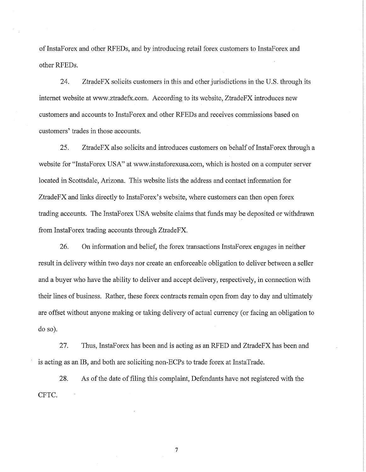of InstaForex and other RFEDs, and by introducing retail forex customers to InstaForex and other RFEDs.

24. ZtradeFX solicits customers in this and other jurisdictions in the U.S. through its internet website at www.ztradefx.com. According to its website, ZtradeFX introduces new customers and accounts to InstaForex and other RFEDs and receives commissions based on customers' trades in those accounts.

25. ZtradeFX also solicits and introduces customers on behalf of InstaForex through a website for "InstaForex USA" at www.instaforexusa.com, which is hosted on a computer server located in Scottsdale, Arizona. This website lists the address and contact information for ZtradeFX and links directly to InstaForex's website, where customers can then open forex trading accounts. The InstaForex USA website claims that funds may be deposited or withdrawn from InstaForex trading accounts through ZtradeFX.

26. On information and belief, the forex transactions InstaForex engages in neither result in delivery within two days nor create an enforceable obligation to deliver between a seller and a buyer who have the ability to deliver and accept delivery, respectively, in connection with their lines of business. Rather, these forex contracts remain open from day to day and ultimately are offset without anyone making or taking delivery of actual currency (or facing an obligation to do so).

27. Thus, InstaForex has been and is acting as an RFED and ZtradeFX has been and is acting as an IB, and both are soliciting non-ECPs to trade forex at InstaTrade.

28. As of the date of filing this complaint, Defendants have not registered with the CFTC.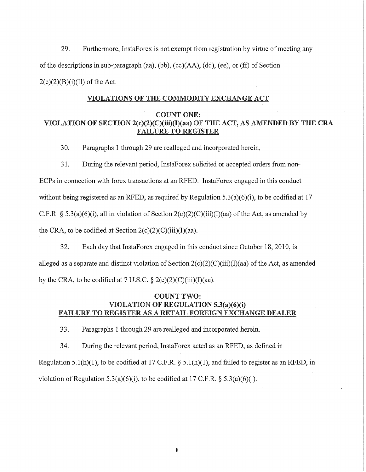29. Furthermore, InstaForex is not exempt from registration by virtue of meeting any of the descriptions in sub-paragraph (aa), (bb),  $(cc)(AA)$ , (dd), (ee), or (ff) of Section  $2(c)(2)(B)(i)(II)$  of the Act.

### VIOLATIONS OF THE COMMODITY EXCHANGE ACT

#### COUNT ONE:

# VIOLATION OF SECTION 2(c)(2)(C)(iii)(l)(aa) OF THE ACT, AS AMENDED BY THE CRA FAILURE TO REGISTER

30. Paragraphs 1 through 29 are realleged and incorporated herein,

31. During the relevant period, InstaForex solicited or accepted orders from non-

ECPs in connection with forex transactions at an RFED. InstaForex engaged in this conduct

without being registered as an RFED, as required by Regulation  $5.3(a)(6)(i)$ , to be codified at 17

C.F.R. § 5.3(a)(6)(i), all in violation of Section  $2(c)(2)(C)(iii)(I)(aa)$  of the Act, as amended by

the CRA, to be codified at Section  $2(c)(2)(C)(iii)(I)(aa)$ .

32. Each day that InstaForex engaged in this conduct since October 18, 2010, is alleged as a separate and distinct violation of Section  $2(c)(2)(C)(iii)(I)(aa)$  of the Act, as amended by the CRA, to be codified at  $7 \text{ U.S.C.} \$   $2(c)(2)(C)(iii)(I)(aa)$ .

## COUNT TWO: VIOLATION OF REGULATION 5.3(a)(6)(i) FAILURE TO REGISTER AS A RETAIL FOREIGN EXCHANGE DEALER

33. Paragraphs 1 through 29 are realleged and incorporated herein.

34. During the relevant period, InstaForex acted as an RFED, as defined in Regulation 5.1(h)(1), to be codified at 17 C.F.R.  $\S$  5.1(h)(1), and failed to register as an RFED, in violation of Regulation 5.3(a)(6)(i), to be codified at 17 C.F.R. *§* 5.3(a)(6)(i).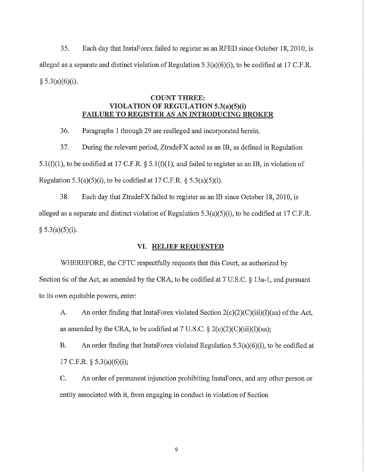35. Each day that InstaForex failed to register as an RFED since October 18, 2010, is alleged as a separate and distinct violation of Regulation 5.3(a)(6)(i), to be codified at 17 C.P.R.  $§ 5.3(a)(6)(i).$ 

## COUNT THREE: VIOLATION OF REGULATION 5.3(a)(5)(i) FAILURE TO REGISTER AS AN INTRODUCING BROKER

36. Paragraphs 1 through 29 are realleged and incorporated herein.

37. During the relevant period, ZtradeFX acted as an IB, as defined in Regulation 5.1(f)(1), to be codified at 17 C.F.R.  $\S$  5.1(f)(1), and failed to register as an IB, in violation of Regulation 5.3(a)(5)(i), to be codified at 17 C.F.R.  $\S$  5.3(a)(5)(i).

38. Each day that ZtradeFX failed to register as an IB since October 18, 2010, is alleged as a separate and distinct violation of Regulation 5.3(a)(5)(i), to be codified at 17 C.P.R.  $§ 5.3(a)(5)(i).$ 

### VI. RELIEF REQUESTED

WHEREFORE, the CFTC respectfully requests that this Court, as authorized by Section 6c of the Act, as amended by the CRA, to be codified at 7 U.S.C. § 13a-1, and pursuant to its own equitable powers, enter:

A. An order finding that InstaForex violated Section  $2(c)(2)(C)(iii)(I)(aa)$  of the Act, as amended by the CRA, to be codified at 7 U.S.C.  $\S 2(c)(2)(C)(iii)(I)(aa);$ 

B. An order finding that InstaForex violated Regulation 5.3(a)(6)(i), to be codified at 17 C.F.R.  $\S$  5.3(a)(6)(i);

C. An order of permanent injunction prohibiting InstaForex, and any other person or entity associated with it, from engaging in conduct in violation of Section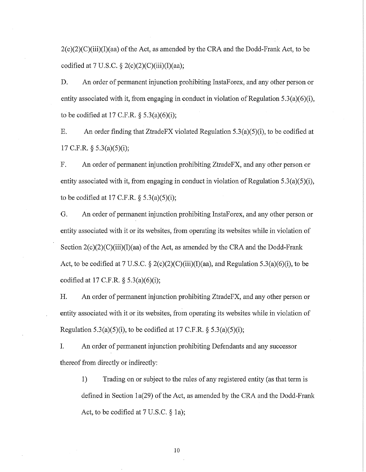$2(c)(2)(C)(iii)(I)(aa)$  of the Act, as amended by the CRA and the Dodd-Frank Act, to be codified at 7 U.S.C.  $\S 2(c)(2)(C(iii))(I)(aa);$ 

D. An order of permanent injunction prohibiting InstaForex, and any other person or entity associated with it, from engaging in conduct in violation of Regulation 5.3(a)(6)(i), to be codified at 17 C.F.R.  $\S$  5.3(a)(6)(i);

E. An order finding that ZtradeFX violated Regulation 5.3(a)(5)(i), to be codified at 17 C.F.R. § 5.3(a)(5)(i);

F. An order of permanent injunction prohibiting ZtradeFX, and any other person or entity associated with it, from engaging in conduct in violation of Regulation 5.3(a)(5)(i), to be codified at 17 C.F.R.  $\S$  5.3(a)(5)(i);

G. An order of permanent injunction prohibiting InstaForex, and any other person or entity associated with it or its websites, from operating its websites while in violation of Section 2(c)(2)(C)(iii)(I)(aa) of the Act, as amended by the CRA and the Dodd-Frank Act, to be codified at 7 U.S.C.  $\S 2(c)(2)(C)(iii)(I)(aa)$ , and Regulation 5.3(a)(6)(i), to be codified at 17 C.F.R.  $\S$  5.3(a)(6)(i);

H. An order of permanent injunction prohibiting ZtradeFX, and any other person or entity associated with it or its websites, from operating its websites while in violation of Regulation 5.3(a)(5)(i), to be codified at 17 C.F.R.  $\S$  5.3(a)(5)(i);

I. An order of permanent injunction prohibiting Defendants and any successor thereof from directly or indirectly:

1) Trading on or subject to the rules of any registered entity (as that term is defined in Section  $1a(29)$  of the Act, as amended by the CRA and the Dodd-Frank Act, to be codified at 7 U.S.C. § 1a);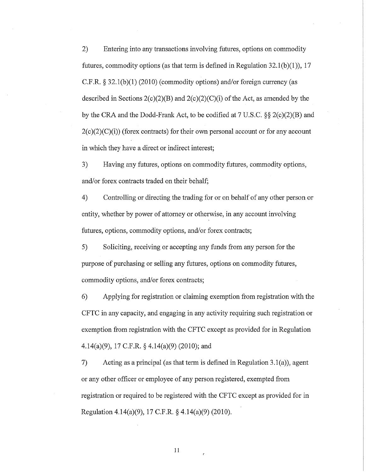2) Entering into any transactions involving futures, options on commodity futures, commodity options (as that term is defined in Regulation  $32.1(b)(1)$ ), 17 C.P.R. § 32.1(b)(1) (2010) (commodity options) and/or foreign currency (as described in Sections  $2(c)(2)(B)$  and  $2(c)(2)(C)(i)$  of the Act, as amended by the by the CRA and the Dodd-Frank Act, to be codified at 7 U.S.C. §§ 2(c)(2)(B) and  $2(c)(2)(C)(i)$  (forex contracts) for their own personal account or for any account in which they have a direct or indirect interest;

3) Having any futures, options on commodity futures, commodity options, and/or forex contracts traded on their behalf;

4) Controlling or directing the trading for or on behalf of any other person or entity, whether by power of attorney or otherwise, in any account involving futures, options, commodity options, and/or forex contracts;

5) Soliciting, receiving or accepting any funds from any person for the purpose of purchasing or selling any futures, options on commodity futures, commodity options, and/or forex contracts;

6) Applying for registration or claiming exemption from registration with the CFTC in any capacity, and engaging in any activity requiring such registration or exemption from registration with the CFTC except as provided for in Regulation 4.14(a)(9), 17 C.F.R. § 4.14(a)(9) (2010); and

7) Acting as a principal (as that term is defined in Regulation 3.1(a)), agent or any other officer or employee of any person registered, exempted from registration or required to be registered with the CFTC except as provided for in Regulation 4.14(a)(9), 17 C.P.R. § 4.14(a)(9) (2010).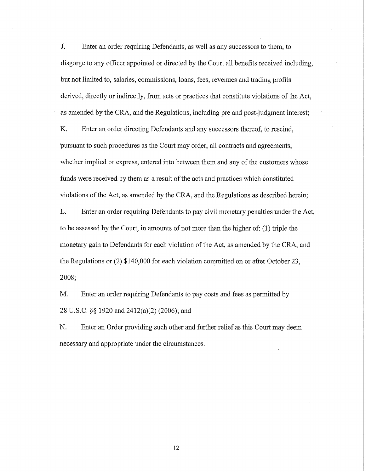J. Enter an order requiring Defendants, as well as any successors to them, to disgorge to any officer appointed or directed by the Court all benefits received including, but not limited to, salaries, commissions, loans, fees, revenues and trading profits derived, directly or indirectly, from acts or practices that constitute violations of the Act, as amended by the CRA, and the Regulations, including pre and post-judgment interest;

K. Enter an order directing Defendants and any successors thereof, to rescind, pursuant to such procedures as the Court may order, all contracts and agreements, whether implied or express, entered into between them and any of the customers whose funds were received by them as a result of the acts and practices which constituted violations of the Act, as amended by the CRA, and the Regulations as described herein;

L. Enter an order requiring Defendants to pay civil monetary penalties under the Act, to be assessed by the Court, in amounts of not more than the higher of: (1) triple the monetary gain to Defendants for each violation of the Act, as amended by the CRA, and the Regulations or (2) \$140,000 for each violation committed on or after October 23, 2008;

M. Enter an order requiring Defendants to pay costs and fees as permitted by 28 U.S.C. §§ 1920 and 2412(a)(2) (2006); and

N. Enter an Order providing such other and further relief as this Court may deem necessary and appropriate under the circumstances.